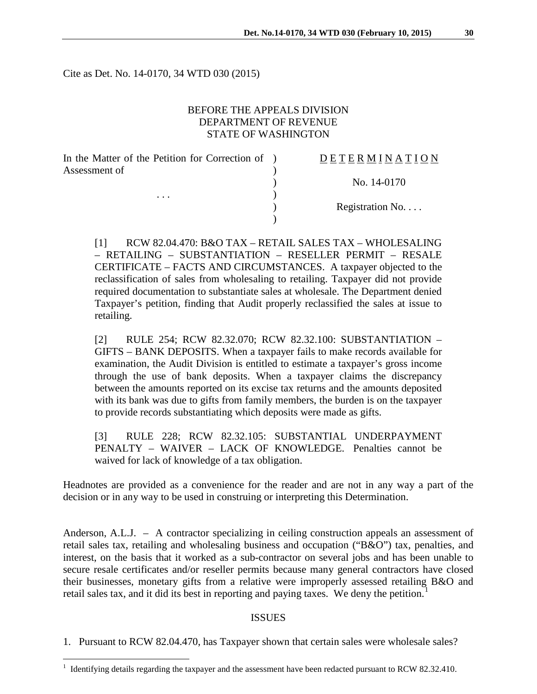Cite as Det. No. 14-0170, 34 WTD 030 (2015)

# BEFORE THE APPEALS DIVISION DEPARTMENT OF REVENUE STATE OF WASHINGTON

In the Matter of the Petition for Correction of ) Assessment of  $\lambda$ 

. . .  $\qquad \qquad$  )

# D E T E R M I N A T I O N

) No. 14-0170

) Registration No. . . .

[1] RCW 82.04.470: B&O TAX – RETAIL SALES TAX – WHOLESALING – RETAILING – SUBSTANTIATION – RESELLER PERMIT – RESALE CERTIFICATE – FACTS AND CIRCUMSTANCES. A taxpayer objected to the reclassification of sales from wholesaling to retailing. Taxpayer did not provide required documentation to substantiate sales at wholesale. The Department denied Taxpayer's petition, finding that Audit properly reclassified the sales at issue to retailing.

)

[2] RULE 254; RCW 82.32.070; RCW 82.32.100: SUBSTANTIATION – GIFTS – BANK DEPOSITS. When a taxpayer fails to make records available for examination, the Audit Division is entitled to estimate a taxpayer's gross income through the use of bank deposits. When a taxpayer claims the discrepancy between the amounts reported on its excise tax returns and the amounts deposited with its bank was due to gifts from family members, the burden is on the taxpayer to provide records substantiating which deposits were made as gifts.

[3] RULE 228; RCW 82.32.105: SUBSTANTIAL UNDERPAYMENT PENALTY – WAIVER – LACK OF KNOWLEDGE. Penalties cannot be waived for lack of knowledge of a tax obligation.

Headnotes are provided as a convenience for the reader and are not in any way a part of the decision or in any way to be used in construing or interpreting this Determination.

Anderson, A.L.J. – A contractor specializing in ceiling construction appeals an assessment of retail sales tax, retailing and wholesaling business and occupation ("B&O") tax, penalties, and interest, on the basis that it worked as a sub-contractor on several jobs and has been unable to secure resale certificates and/or reseller permits because many general contractors have closed their businesses, monetary gifts from a relative were improperly assessed retailing B&O and retail sales tax, and it did its best in reporting and paying taxes. We deny the petition.<sup>[1](#page-0-0)</sup>

## ISSUES

1. Pursuant to RCW 82.04.470, has Taxpayer shown that certain sales were wholesale sales?

 $\overline{a}$ 

<span id="page-0-0"></span> $1$  Identifying details regarding the taxpayer and the assessment have been redacted pursuant to RCW 82.32.410.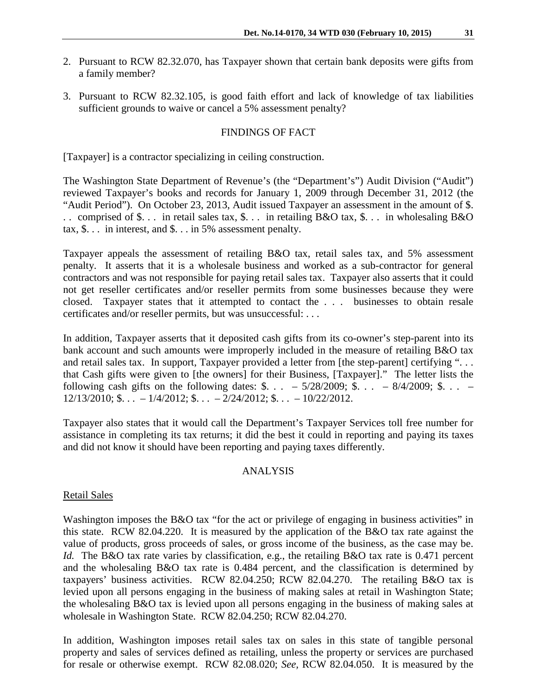- 2. Pursuant to RCW 82.32.070, has Taxpayer shown that certain bank deposits were gifts from a family member?
- 3. Pursuant to RCW 82.32.105, is good faith effort and lack of knowledge of tax liabilities sufficient grounds to waive or cancel a 5% assessment penalty?

## FINDINGS OF FACT

[Taxpayer] is a contractor specializing in ceiling construction.

The Washington State Department of Revenue's (the "Department's") Audit Division ("Audit") reviewed Taxpayer's books and records for January 1, 2009 through December 31, 2012 (the "Audit Period"). On October 23, 2013, Audit issued Taxpayer an assessment in the amount of \$. . . comprised of \$. . . in retail sales tax, \$. . . in retailing B&O tax, \$. . . in wholesaling B&O tax,  $\$\dots$  in interest, and  $\$\dots$  in 5% assessment penalty.

Taxpayer appeals the assessment of retailing B&O tax, retail sales tax, and 5% assessment penalty. It asserts that it is a wholesale business and worked as a sub-contractor for general contractors and was not responsible for paying retail sales tax. Taxpayer also asserts that it could not get reseller certificates and/or reseller permits from some businesses because they were closed. Taxpayer states that it attempted to contact the . . . businesses to obtain resale certificates and/or reseller permits, but was unsuccessful: . . .

In addition, Taxpayer asserts that it deposited cash gifts from its co-owner's step-parent into its bank account and such amounts were improperly included in the measure of retailing B&O tax and retail sales tax. In support, Taxpayer provided a letter from [the step-parent] certifying "... that Cash gifts were given to [the owners] for their Business, [Taxpayer]." The letter lists the following cash gifts on the following dates:  $\frac{1}{2}$ . . . – 5/28/2009;  $\frac{1}{2}$ . . . – 8/4/2009;  $\frac{1}{2}$ . . . –  $12/13/2010$ ; \$. . . –  $1/4/2012$ ; \$. . . –  $2/24/2012$ ; \$. . . –  $10/22/2012$ .

Taxpayer also states that it would call the Department's Taxpayer Services toll free number for assistance in completing its tax returns; it did the best it could in reporting and paying its taxes and did not know it should have been reporting and paying taxes differently.

## ANALYSIS

#### Retail Sales

Washington imposes the B&O tax "for the act or privilege of engaging in business activities" in this state. RCW 82.04.220. It is measured by the application of the B&O tax rate against the value of products, gross proceeds of sales, or gross income of the business, as the case may be. *Id.* The B&O tax rate varies by classification, e.g., the retailing B&O tax rate is 0.471 percent and the wholesaling B&O tax rate is 0.484 percent, and the classification is determined by taxpayers' business activities. RCW 82.04.250; RCW 82.04.270. The retailing B&O tax is levied upon all persons engaging in the business of making sales at retail in Washington State; the wholesaling B&O tax is levied upon all persons engaging in the business of making sales at wholesale in Washington State. RCW 82.04.250; RCW 82.04.270.

In addition, Washington imposes retail sales tax on sales in this state of tangible personal property and sales of services defined as retailing, unless the property or services are purchased for resale or otherwise exempt. RCW 82.08.020; *See,* RCW 82.04.050. It is measured by the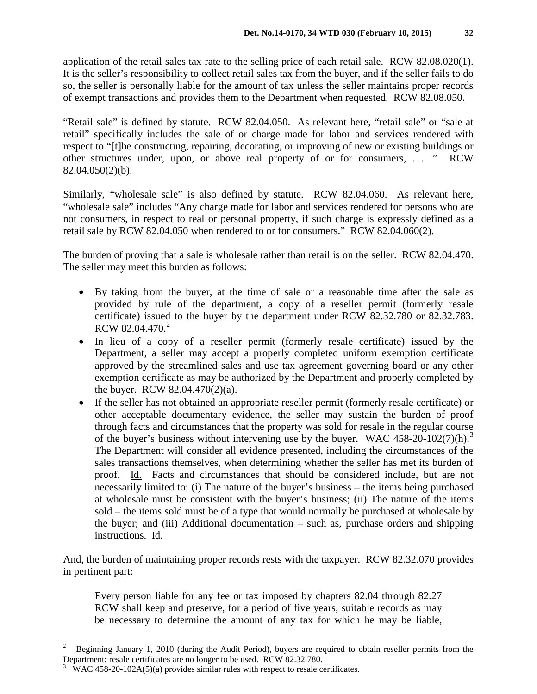application of the retail sales tax rate to the selling price of each retail sale. RCW 82.08.020(1). It is the seller's responsibility to collect retail sales tax from the buyer, and if the seller fails to do so, the seller is personally liable for the amount of tax unless the seller maintains proper records of exempt transactions and provides them to the Department when requested. RCW 82.08.050.

"Retail sale" is defined by statute. RCW 82.04.050. As relevant here, "retail sale" or "sale at retail" specifically includes the sale of or charge made for labor and services rendered with respect to "[t]he constructing, repairing, decorating, or improving of new or existing buildings or other structures under, upon, or above real property of or for consumers, . . ." RCW 82.04.050(2)(b).

Similarly, "wholesale sale" is also defined by statute. RCW 82.04.060. As relevant here, "wholesale sale" includes "Any charge made for labor and services rendered for persons who are not consumers, in respect to real or personal property, if such charge is expressly defined as a retail sale by RCW 82.04.050 when rendered to or for consumers." RCW 82.04.060(2).

The burden of proving that a sale is wholesale rather than retail is on the seller. RCW 82.04.470. The seller may meet this burden as follows:

- By taking from the buyer, at the time of sale or a reasonable time after the sale as provided by rule of the department, a copy of a reseller permit (formerly resale certificate) issued to the buyer by the department under RCW 82.32.780 or 82.32.783. RCW 8[2](#page-2-0).04.470. $^{2}$
- In lieu of a copy of a reseller permit (formerly resale certificate) issued by the Department, a seller may accept a properly completed uniform exemption certificate approved by the streamlined sales and use tax agreement governing board or any other exemption certificate as may be authorized by the Department and properly completed by the buyer. RCW 82.04.470(2)(a).
- If the seller has not obtained an appropriate reseller permit (formerly resale certificate) or other acceptable documentary evidence, the seller may sustain the burden of proof through facts and circumstances that the property was sold for resale in the regular course of the buyer's business without intervening use by the buyer. WAC 458-20-102(7)(h).<sup>[3](#page-2-1)</sup> The Department will consider all evidence presented, including the circumstances of the sales transactions themselves, when determining whether the seller has met its burden of proof. Id. Facts and circumstances that should be considered include, but are not necessarily limited to: (i) The nature of the buyer's business – the items being purchased at wholesale must be consistent with the buyer's business; (ii) The nature of the items sold – the items sold must be of a type that would normally be purchased at wholesale by the buyer; and (iii) Additional documentation – such as, purchase orders and shipping instructions. Id.

And, the burden of maintaining proper records rests with the taxpayer. RCW 82.32.070 provides in pertinent part:

Every person liable for any fee or tax imposed by chapters 82.04 through 82.27 RCW shall keep and preserve, for a period of five years, suitable records as may be necessary to determine the amount of any tax for which he may be liable,

 $\overline{a}$ 

<span id="page-2-0"></span><sup>2</sup> Beginning January 1, 2010 (during the Audit Period), buyers are required to obtain reseller permits from the Department; resale certificates are no longer to be used. RCW 82.32.780.

<span id="page-2-1"></span><sup>3</sup> WAC 458-20-102A(5)(a) provides similar rules with respect to resale certificates.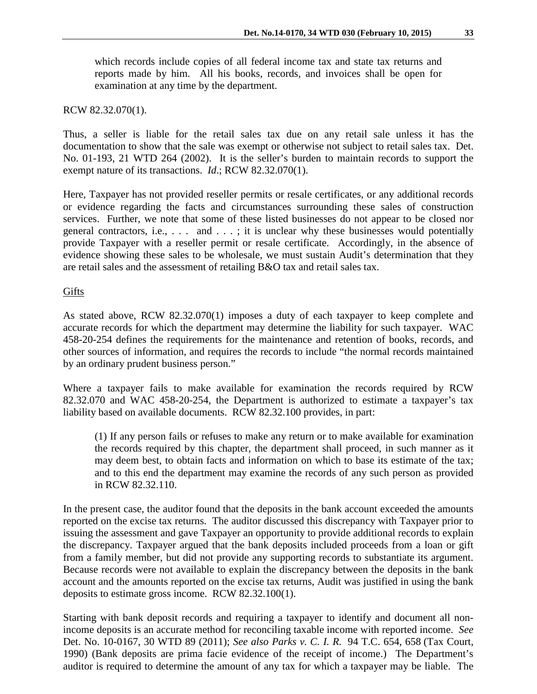which records include copies of all federal income tax and state tax returns and reports made by him. All his books, records, and invoices shall be open for examination at any time by the department.

## RCW 82.32.070(1).

Thus, a seller is liable for the retail sales tax due on any retail sale unless it has the documentation to show that the sale was exempt or otherwise not subject to retail sales tax. Det. No. 01-193, 21 WTD 264 (2002). It is the seller's burden to maintain records to support the exempt nature of its transactions. *Id*.; RCW 82.32.070(1).

Here, Taxpayer has not provided reseller permits or resale certificates, or any additional records or evidence regarding the facts and circumstances surrounding these sales of construction services. Further, we note that some of these listed businesses do not appear to be closed nor general contractors, i.e.,  $\dots$  and  $\dots$ ; it is unclear why these businesses would potentially provide Taxpayer with a reseller permit or resale certificate. Accordingly, in the absence of evidence showing these sales to be wholesale, we must sustain Audit's determination that they are retail sales and the assessment of retailing B&O tax and retail sales tax.

## Gifts

As stated above, RCW 82.32.070(1) imposes a duty of each taxpayer to keep complete and accurate records for which the department may determine the liability for such taxpayer. WAC 458-20-254 defines the requirements for the maintenance and retention of books, records, and other sources of information, and requires the records to include "the normal records maintained by an ordinary prudent business person."

Where a taxpayer fails to make available for examination the records required by RCW 82.32.070 and WAC 458-20-254, the Department is authorized to estimate a taxpayer's tax liability based on available documents. RCW 82.32.100 provides, in part:

(1) If any person fails or refuses to make any return or to make available for examination the records required by this chapter, the department shall proceed, in such manner as it may deem best, to obtain facts and information on which to base its estimate of the tax; and to this end the department may examine the records of any such person as provided in RCW 82.32.110.

In the present case, the auditor found that the deposits in the bank account exceeded the amounts reported on the excise tax returns. The auditor discussed this discrepancy with Taxpayer prior to issuing the assessment and gave Taxpayer an opportunity to provide additional records to explain the discrepancy. Taxpayer argued that the bank deposits included proceeds from a loan or gift from a family member, but did not provide any supporting records to substantiate its argument. Because records were not available to explain the discrepancy between the deposits in the bank account and the amounts reported on the excise tax returns, Audit was justified in using the bank deposits to estimate gross income. RCW 82.32.100(1).

Starting with bank deposit records and requiring a taxpayer to identify and document all nonincome deposits is an accurate method for reconciling taxable income with reported income. *See* Det. No. 10-0167, 30 WTD 89 (2011); *See also Parks v. C. I. R.* 94 T.C. 654, 658 (Tax Court, 1990) (Bank deposits are prima facie evidence of the receipt of income.) The Department's auditor is required to determine the amount of any tax for which a taxpayer may be liable. The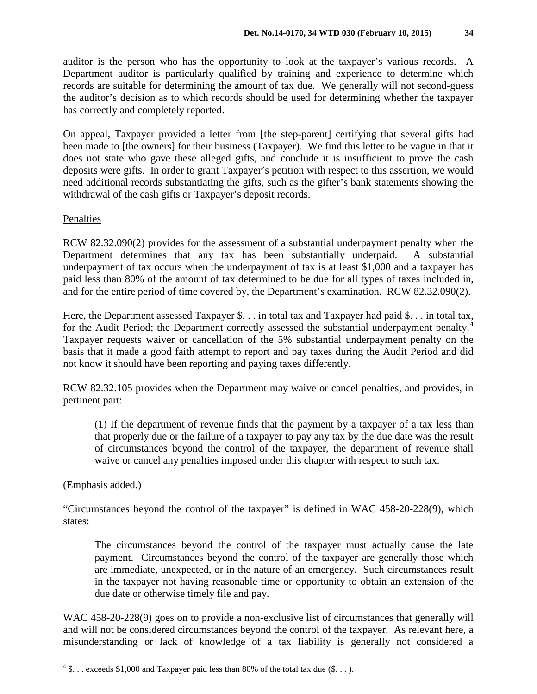auditor is the person who has the opportunity to look at the taxpayer's various records. A Department auditor is particularly qualified by training and experience to determine which records are suitable for determining the amount of tax due. We generally will not second-guess the auditor's decision as to which records should be used for determining whether the taxpayer has correctly and completely reported.

On appeal, Taxpayer provided a letter from [the step-parent] certifying that several gifts had been made to [the owners] for their business (Taxpayer). We find this letter to be vague in that it does not state who gave these alleged gifts, and conclude it is insufficient to prove the cash deposits were gifts. In order to grant Taxpayer's petition with respect to this assertion, we would need additional records substantiating the gifts, such as the gifter's bank statements showing the withdrawal of the cash gifts or Taxpayer's deposit records.

# Penalties

RCW 82.32.090(2) provides for the assessment of a substantial underpayment penalty when the Department determines that any tax has been substantially underpaid. A substantial underpayment of tax occurs when the underpayment of tax is at least \$1,000 and a taxpayer has paid less than 80% of the amount of tax determined to be due for all types of taxes included in, and for the entire period of time covered by, the Department's examination. RCW 82.32.090(2).

Here, the Department assessed Taxpayer \$. . . in total tax and Taxpayer had paid \$. . . in total tax, for the Audit Period; the Department correctly assessed the substantial underpayment penalty.<sup>[4](#page-4-0)</sup> Taxpayer requests waiver or cancellation of the 5% substantial underpayment penalty on the basis that it made a good faith attempt to report and pay taxes during the Audit Period and did not know it should have been reporting and paying taxes differently.

RCW 82.32.105 provides when the Department may waive or cancel penalties, and provides, in pertinent part:

(1) If the department of revenue finds that the payment by a taxpayer of a tax less than that properly due or the failure of a taxpayer to pay any tax by the due date was the result of circumstances beyond the control of the taxpayer, the department of revenue shall waive or cancel any penalties imposed under this chapter with respect to such tax.

(Emphasis added.)

 $\overline{a}$ 

"Circumstances beyond the control of the taxpayer" is defined in WAC 458-20-228(9), which states:

The circumstances beyond the control of the taxpayer must actually cause the late payment. Circumstances beyond the control of the taxpayer are generally those which are immediate, unexpected, or in the nature of an emergency. Such circumstances result in the taxpayer not having reasonable time or opportunity to obtain an extension of the due date or otherwise timely file and pay.

WAC 458-20-228(9) goes on to provide a non-exclusive list of circumstances that generally will and will not be considered circumstances beyond the control of the taxpayer. As relevant here, a misunderstanding or lack of knowledge of a tax liability is generally not considered a

<span id="page-4-0"></span> $4\$ ... exceeds \$1,000 and Taxpayer paid less than 80% of the total tax due (\$...).